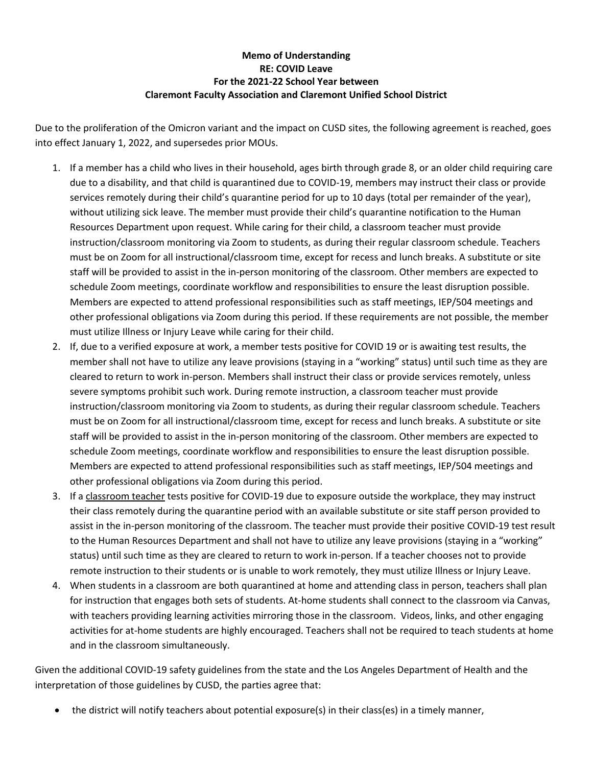## **Memo of Understanding RE: COVID Leave For the 2021-22 School Year between Claremont Faculty Association and Claremont Unified School District**

Due to the proliferation of the Omicron variant and the impact on CUSD sites, the following agreement is reached, goes into effect January 1, 2022, and supersedes prior MOUs.

- 1. If a member has a child who lives in their household, ages birth through grade 8, or an older child requiring care due to a disability, and that child is quarantined due to COVID-19, members may instruct their class or provide services remotely during their child's quarantine period for up to 10 days (total per remainder of the year), without utilizing sick leave. The member must provide their child's quarantine notification to the Human Resources Department upon request. While caring for their child, a classroom teacher must provide instruction/classroom monitoring via Zoom to students, as during their regular classroom schedule. Teachers must be on Zoom for all instructional/classroom time, except for recess and lunch breaks. A substitute or site staff will be provided to assist in the in-person monitoring of the classroom. Other members are expected to schedule Zoom meetings, coordinate workflow and responsibilities to ensure the least disruption possible. Members are expected to attend professional responsibilities such as staff meetings, IEP/504 meetings and other professional obligations via Zoom during this period. If these requirements are not possible, the member must utilize Illness or Injury Leave while caring for their child.
- 2. If, due to a verified exposure at work, a member tests positive for COVID 19 or is awaiting test results, the member shall not have to utilize any leave provisions (staying in a "working" status) until such time as they are cleared to return to work in-person. Members shall instruct their class or provide services remotely, unless severe symptoms prohibit such work. During remote instruction, a classroom teacher must provide instruction/classroom monitoring via Zoom to students, as during their regular classroom schedule. Teachers must be on Zoom for all instructional/classroom time, except for recess and lunch breaks. A substitute or site staff will be provided to assist in the in-person monitoring of the classroom. Other members are expected to schedule Zoom meetings, coordinate workflow and responsibilities to ensure the least disruption possible. Members are expected to attend professional responsibilities such as staff meetings, IEP/504 meetings and other professional obligations via Zoom during this period.
- 3. If a classroom teacher tests positive for COVID-19 due to exposure outside the workplace, they may instruct their class remotely during the quarantine period with an available substitute or site staff person provided to assist in the in-person monitoring of the classroom. The teacher must provide their positive COVID-19 test result to the Human Resources Department and shall not have to utilize any leave provisions (staying in a "working" status) until such time as they are cleared to return to work in-person. If a teacher chooses not to provide remote instruction to their students or is unable to work remotely, they must utilize Illness or Injury Leave.
- 4. When students in a classroom are both quarantined at home and attending class in person, teachers shall plan for instruction that engages both sets of students. At-home students shall connect to the classroom via Canvas, with teachers providing learning activities mirroring those in the classroom. Videos, links, and other engaging activities for at-home students are highly encouraged. Teachers shall not be required to teach students at home and in the classroom simultaneously.

Given the additional COVID-19 safety guidelines from the state and the Los Angeles Department of Health and the interpretation of those guidelines by CUSD, the parties agree that:

• the district will notify teachers about potential exposure(s) in their class(es) in a timely manner,